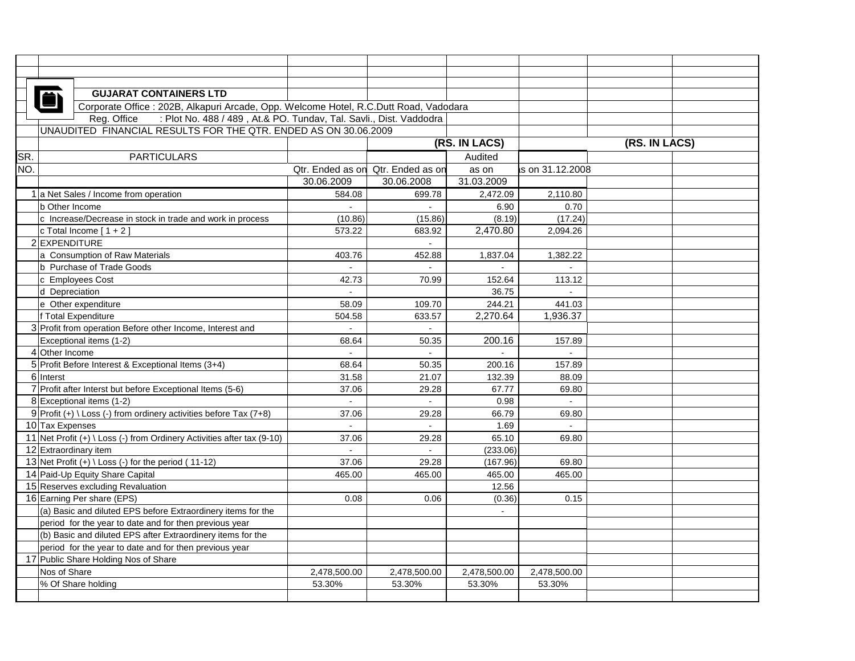|                                                                 | <b>GUJARAT CONTAINERS LTD</b>                                                         |              |                                   |              |                 |  |  |  |  |  |
|-----------------------------------------------------------------|---------------------------------------------------------------------------------------|--------------|-----------------------------------|--------------|-----------------|--|--|--|--|--|
|                                                                 | Corporate Office : 202B, Alkapuri Arcade, Opp. Welcome Hotel, R.C.Dutt Road, Vadodara |              |                                   |              |                 |  |  |  |  |  |
|                                                                 | Reg. Office : Plot No. 488 / 489, At.& PO. Tundav, Tal. Savli., Dist. Vaddodra        |              |                                   |              |                 |  |  |  |  |  |
| UNAUDITED FINANCIAL RESULTS FOR THE QTR. ENDED AS ON 30.06.2009 |                                                                                       |              |                                   |              |                 |  |  |  |  |  |
|                                                                 |                                                                                       |              | (RS. IN LACS)                     |              | (RS. IN LACS)   |  |  |  |  |  |
| SR.                                                             | <b>PARTICULARS</b>                                                                    |              |                                   | Audited      |                 |  |  |  |  |  |
| NO.                                                             |                                                                                       |              | Qtr. Ended as on Qtr. Ended as on | as on        | s on 31.12.2008 |  |  |  |  |  |
|                                                                 |                                                                                       | 30.06.2009   | 30.06.2008                        | 31.03.2009   |                 |  |  |  |  |  |
|                                                                 | 1 a Net Sales / Income from operation                                                 | 584.08       | 699.78                            | 2,472.09     | 2,110.80        |  |  |  |  |  |
|                                                                 | b Other Income                                                                        |              |                                   | 6.90         | 0.70            |  |  |  |  |  |
|                                                                 | c Increase/Decrease in stock in trade and work in process                             | (10.86)      | (15.86)                           | (8.19)       | (17.24)         |  |  |  |  |  |
|                                                                 | c Total Income $[1 + 2]$                                                              | 573.22       | 683.92                            | 2,470.80     | 2,094.26        |  |  |  |  |  |
|                                                                 | 2 EXPENDITURE                                                                         |              |                                   |              |                 |  |  |  |  |  |
|                                                                 | a Consumption of Raw Materials                                                        | 403.76       | 452.88                            | 1,837.04     | 1,382.22        |  |  |  |  |  |
|                                                                 | b Purchase of Trade Goods                                                             | $\Delta$     |                                   |              |                 |  |  |  |  |  |
|                                                                 | c Employees Cost                                                                      | 42.73        | 70.99                             | 152.64       | 113.12          |  |  |  |  |  |
|                                                                 | d Depreciation                                                                        | ä,           |                                   | 36.75        |                 |  |  |  |  |  |
|                                                                 | e Other expenditure                                                                   | 58.09        | 109.70                            | 244.21       | 441.03          |  |  |  |  |  |
|                                                                 | f Total Expenditure                                                                   | 504.58       | 633.57                            | 2,270.64     | 1.936.37        |  |  |  |  |  |
|                                                                 | 3 Profit from operation Before other Income, Interest and                             |              |                                   |              |                 |  |  |  |  |  |
|                                                                 | Exceptional items (1-2)                                                               | 68.64        | 50.35                             | 200.16       | 157.89          |  |  |  |  |  |
|                                                                 | 4 Other Income                                                                        | $\sim$       | $\sim$                            | $\sim$       | $\sim$          |  |  |  |  |  |
|                                                                 | 5 Profit Before Interest & Exceptional Items (3+4)                                    | 68.64        | 50.35                             | 200.16       | 157.89          |  |  |  |  |  |
|                                                                 | 6 Interst                                                                             | 31.58        | 21.07                             | 132.39       | 88.09           |  |  |  |  |  |
|                                                                 | 7 Profit after Interst but before Exceptional Items (5-6)                             | 37.06        | 29.28                             | 67.77        | 69.80           |  |  |  |  |  |
|                                                                 | 8 Exceptional items (1-2)                                                             |              |                                   | 0.98         | $\sim$          |  |  |  |  |  |
|                                                                 | 9 Profit (+) \ Loss (-) from ordinery activities before Tax (7+8)                     | 37.06        | 29.28                             | 66.79        | 69.80           |  |  |  |  |  |
|                                                                 | 10 Tax Expenses                                                                       | $\mathbf{r}$ | $\mathbf{r}$                      | 1.69         | $\sim$          |  |  |  |  |  |
|                                                                 | 11 Net Profit $(+) \setminus Loss$ (-) from Ordinery Activities after tax (9-10)      | 37.06        | 29.28                             | 65.10        | 69.80           |  |  |  |  |  |
|                                                                 | 12 Extraordinary item                                                                 | $\mathbf{r}$ | $\mathbf{u}$                      | (233.06)     |                 |  |  |  |  |  |
|                                                                 | 13 Net Profit (+) \ Loss (-) for the period (11-12)                                   | 37.06        | 29.28                             | (167.96)     | 69.80           |  |  |  |  |  |
|                                                                 | 14 Paid-Up Equity Share Capital                                                       | 465.00       | 465.00                            | 465.00       | 465.00          |  |  |  |  |  |
|                                                                 | 15 Reserves excluding Revaluation                                                     |              |                                   | 12.56        |                 |  |  |  |  |  |
|                                                                 | 16 Earning Per share (EPS)                                                            | 0.08         | 0.06                              | (0.36)       | 0.15            |  |  |  |  |  |
|                                                                 | (a) Basic and diluted EPS before Extraordinery items for the                          |              |                                   |              |                 |  |  |  |  |  |
|                                                                 | period for the year to date and for then previous year                                |              |                                   |              |                 |  |  |  |  |  |
|                                                                 | (b) Basic and diluted EPS after Extraordinery items for the                           |              |                                   |              |                 |  |  |  |  |  |
|                                                                 | period for the year to date and for then previous year                                |              |                                   |              |                 |  |  |  |  |  |
|                                                                 | 17 Public Share Holding Nos of Share                                                  |              |                                   |              |                 |  |  |  |  |  |
|                                                                 | Nos of Share                                                                          | 2,478,500.00 | 2,478,500.00                      | 2,478,500.00 | 2,478,500.00    |  |  |  |  |  |
|                                                                 | % Of Share holding                                                                    | 53.30%       | 53.30%                            | 53.30%       | 53.30%          |  |  |  |  |  |
|                                                                 |                                                                                       |              |                                   |              |                 |  |  |  |  |  |
|                                                                 |                                                                                       |              |                                   |              |                 |  |  |  |  |  |